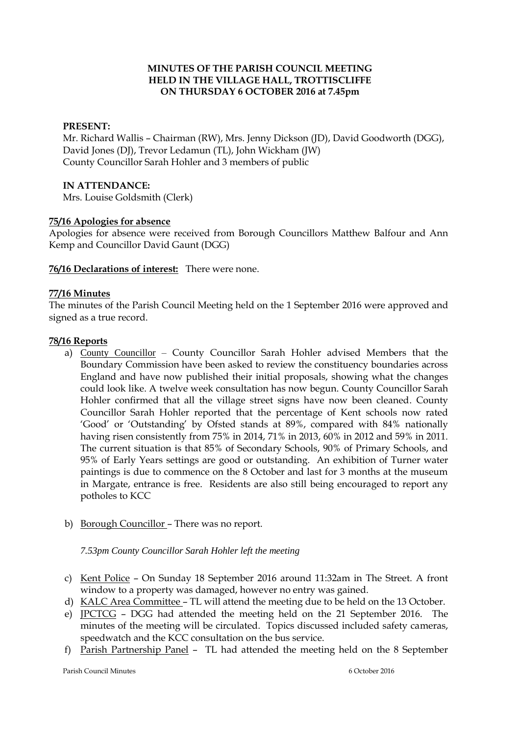## **MINUTES OF THE PARISH COUNCIL MEETING HELD IN THE VILLAGE HALL, TROTTISCLIFFE ON THURSDAY 6 OCTOBER 2016 at 7.45pm**

#### **PRESENT:**

Mr. Richard Wallis – Chairman (RW), Mrs. Jenny Dickson (JD), David Goodworth (DGG), David Jones (DJ), Trevor Ledamun (TL), John Wickham (JW) County Councillor Sarah Hohler and 3 members of public

#### **IN ATTENDANCE:**

Mrs. Louise Goldsmith (Clerk)

#### **75/16 Apologies for absence**

Apologies for absence were received from Borough Councillors Matthew Balfour and Ann Kemp and Councillor David Gaunt (DGG)

# **76/16 Declarations of interest:** There were none.

#### **77/16 Minutes**

The minutes of the Parish Council Meeting held on the 1 September 2016 were approved and signed as a true record.

#### **78/16 Reports**

- a) County Councillor County Councillor Sarah Hohler advised Members that the Boundary Commission have been asked to review the constituency boundaries across England and have now published their initial proposals, showing what the changes could look like. A twelve week consultation has now begun. County Councillor Sarah Hohler confirmed that all the village street signs have now been cleaned. County Councillor Sarah Hohler reported that the percentage of Kent schools now rated 'Good' or 'Outstanding' by Ofsted stands at 89%, compared with 84% nationally having risen consistently from 75% in 2014, 71% in 2013, 60% in 2012 and 59% in 2011. The current situation is that 85% of Secondary Schools, 90% of Primary Schools, and 95% of Early Years settings are good or outstanding. An exhibition of Turner water paintings is due to commence on the 8 October and last for 3 months at the museum in Margate, entrance is free. Residents are also still being encouraged to report any potholes to KCC
- b) Borough Councillor There was no report.

#### *7.53pm County Councillor Sarah Hohler left the meeting*

- c) Kent Police On Sunday 18 September 2016 around 11:32am in The Street. A front window to a property was damaged, however no entry was gained.
- d) KALC Area Committee TL will attend the meeting due to be held on the 13 October.
- e) JPCTCG DGG had attended the meeting held on the 21 September 2016. The minutes of the meeting will be circulated. Topics discussed included safety cameras, speedwatch and the KCC consultation on the bus service.
- f) Parish Partnership Panel TL had attended the meeting held on the 8 September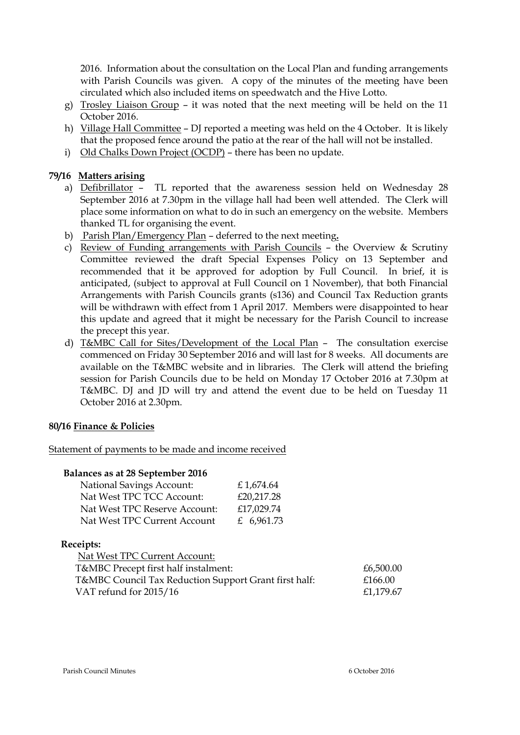2016. Information about the consultation on the Local Plan and funding arrangements with Parish Councils was given. A copy of the minutes of the meeting have been circulated which also included items on speedwatch and the Hive Lotto.

- g) Trosley Liaison Group it was noted that the next meeting will be held on the 11 October 2016.
- h) Village Hall Committee DJ reported a meeting was held on the 4 October. It is likely that the proposed fence around the patio at the rear of the hall will not be installed.
- i) Old Chalks Down Project (OCDP) there has been no update.

## **79/16 Matters arising**

- a) Defibrillator TL reported that the awareness session held on Wednesday 28 September 2016 at 7.30pm in the village hall had been well attended. The Clerk will place some information on what to do in such an emergency on the website. Members thanked TL for organising the event.
- b) Parish Plan/Emergency Plan deferred to the next meeting**.**
- c) Review of Funding arrangements with Parish Councils the Overview & Scrutiny Committee reviewed the draft Special Expenses Policy on 13 September and recommended that it be approved for adoption by Full Council. In brief, it is anticipated, (subject to approval at Full Council on 1 November), that both Financial Arrangements with Parish Councils grants (s136) and Council Tax Reduction grants will be withdrawn with effect from 1 April 2017. Members were disappointed to hear this update and agreed that it might be necessary for the Parish Council to increase the precept this year.
- d) T&MBC Call for Sites/Development of the Local Plan The consultation exercise commenced on Friday 30 September 2016 and will last for 8 weeks. All documents are available on the T&MBC website and in libraries. The Clerk will attend the briefing session for Parish Councils due to be held on Monday 17 October 2016 at 7.30pm at T&MBC. DJ and JD will try and attend the event due to be held on Tuesday 11 October 2016 at 2.30pm.

## **80/16 Finance & Policies**

Statement of payments to be made and income received

## **Balances as at 28 September 2016**

| <b>National Savings Account:</b> | £1,674.64  |
|----------------------------------|------------|
| Nat West TPC TCC Account:        | £20,217.28 |
| Nat West TPC Reserve Account:    | £17,029.74 |
| Nat West TPC Current Account     | £ 6,961.73 |

#### **Receipts:**

| Nat West TPC Current Account:                         |           |
|-------------------------------------------------------|-----------|
| T&MBC Precept first half instalment:                  | £6,500.00 |
| T&MBC Council Tax Reduction Support Grant first half: | £166.00   |
| VAT refund for 2015/16                                | £1,179.67 |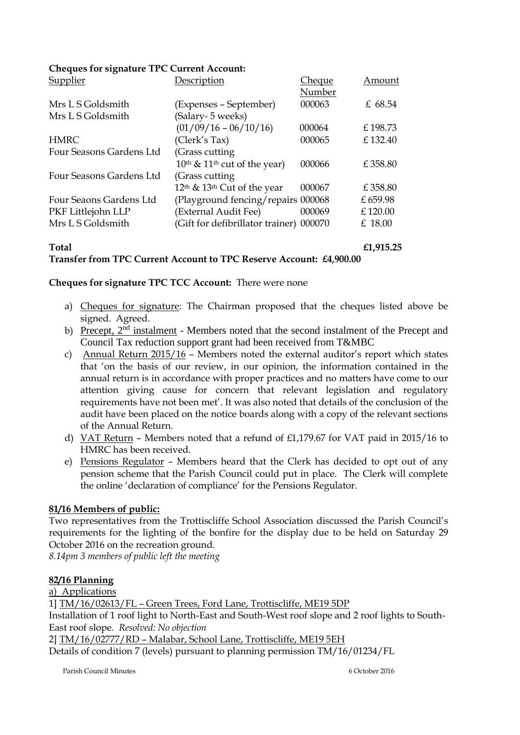| Supplier                 | Description                                         | <b>Cheque</b> | Amount  |
|--------------------------|-----------------------------------------------------|---------------|---------|
|                          |                                                     | Number        |         |
| Mrs L S Goldsmith        | (Expenses – September)                              | 000063        | £ 68.54 |
| Mrs L S Goldsmith        | (Salary- 5 weeks)                                   |               |         |
|                          | $(01/09/16 - 06/10/16)$                             | 000064        | £198.73 |
| <b>HMRC</b>              | (Clerk's Tax)                                       | 000065        | £132.40 |
| Four Seasons Gardens Ltd | (Grass cutting)                                     |               |         |
|                          | $10th$ & $11th$ cut of the year)                    | 000066        | £358.80 |
| Four Seasons Gardens Ltd | (Grass cutting                                      |               |         |
|                          | 12 <sup>th</sup> & 13 <sup>th</sup> Cut of the year | 000067        | £358.80 |
| Four Seaons Gardens Ltd  | (Playground fencing/repairs 000068)                 |               | £659.98 |
| PKF Littlejohn LLP       | (External Audit Fee)                                | 000069        | £120.00 |
| Mrs L S Goldsmith        | (Gift for defibrillator trainer) 000070             |               | £ 18.00 |
|                          |                                                     |               |         |

# **Cheques for signature TPC Current Account:**

**Total £1,915.25**

**Transfer from TPC Current Account to TPC Reserve Account: £4,900.00**

#### **Cheques for signature TPC TCC Account:** There were none

- a) Cheques for signature: The Chairman proposed that the cheques listed above be signed. Agreed.
- b) Precept,  $2<sup>nd</sup>$  instalment Members noted that the second instalment of the Precept and Council Tax reduction support grant had been received from T&MBC
- c) Annual Return 2015/16 Members noted the external auditor's report which states that 'on the basis of our review, in our opinion, the information contained in the annual return is in accordance with proper practices and no matters have come to our attention giving cause for concern that relevant legislation and regulatory requirements have not been met'. It was also noted that details of the conclusion of the audit have been placed on the notice boards along with a copy of the relevant sections of the Annual Return.
- d) VAT Return Members noted that a refund of £1,179.67 for VAT paid in 2015/16 to HMRC has been received.
- e) Pensions Regulator Members heard that the Clerk has decided to opt out of any pension scheme that the Parish Council could put in place. The Clerk will complete the online 'declaration of compliance' for the Pensions Regulator.

## **81/16 Members of public:**

Two representatives from the Trottiscliffe School Association discussed the Parish Council's requirements for the lighting of the bonfire for the display due to be held on Saturday 29 October 2016 on the recreation ground.

*8.14pm 3 members of public left the meeting*

## **82/16 Planning**

a) Applications

1] TM/16/02613/FL – Green Trees, Ford Lane, Trottiscliffe, ME19 5DP Installation of 1 roof light to North-East and South-West roof slope and 2 roof lights to South-East roof slope. *Resolved: No objection*

2] TM/16/02777/RD – Malabar, School Lane, Trottiscliffe, ME19 5EH

Details of condition 7 (levels) pursuant to planning permission TM/16/01234/FL

Parish Council Minutes 6 October 2016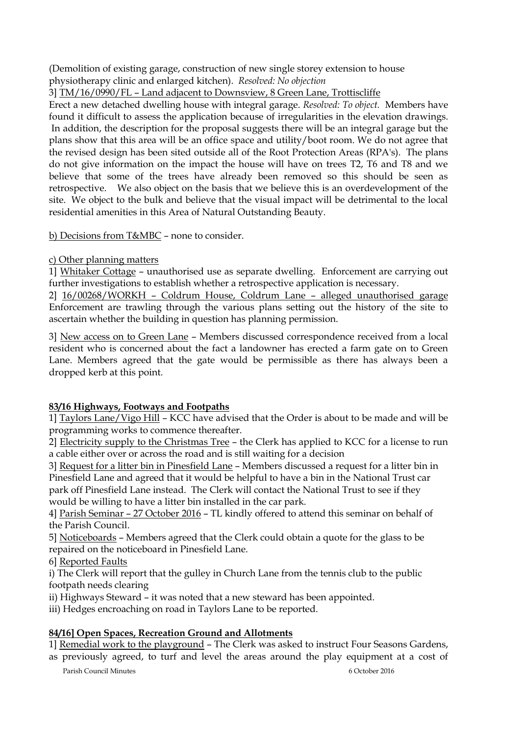(Demolition of existing garage, construction of new single storey extension to house physiotherapy clinic and enlarged kitchen). *Resolved: No objection*

3] TM/16/0990/FL – Land adjacent to Downsview, 8 Green Lane, Trottiscliffe

Erect a new detached dwelling house with integral garage. *Resolved: To object.* Members have found it difficult to assess the application because of irregularities in the elevation drawings. In addition, the description for the proposal suggests there will be an integral garage but the plans show that this area will be an office space and utility/boot room. We do not agree that the revised design has been sited outside all of the Root Protection Areas (RPA's). The plans do not give information on the impact the house will have on trees T2, T6 and T8 and we believe that some of the trees have already been removed so this should be seen as retrospective. We also object on the basis that we believe this is an overdevelopment of the site. We object to the bulk and believe that the visual impact will be detrimental to the local residential amenities in this Area of Natural Outstanding Beauty.

b) Decisions from T&MBC – none to consider.

# c) Other planning matters

1] Whitaker Cottage – unauthorised use as separate dwelling. Enforcement are carrying out further investigations to establish whether a retrospective application is necessary.

2] 16/00268/WORKH – Coldrum House, Coldrum Lane – alleged unauthorised garage Enforcement are trawling through the various plans setting out the history of the site to ascertain whether the building in question has planning permission.

3] New access on to Green Lane – Members discussed correspondence received from a local resident who is concerned about the fact a landowner has erected a farm gate on to Green Lane. Members agreed that the gate would be permissible as there has always been a dropped kerb at this point.

# **83/16 Highways, Footways and Footpaths**

1] Taylors Lane/Vigo Hill – KCC have advised that the Order is about to be made and will be programming works to commence thereafter.

2] Electricity supply to the Christmas Tree – the Clerk has applied to KCC for a license to run a cable either over or across the road and is still waiting for a decision

3] Request for a litter bin in Pinesfield Lane – Members discussed a request for a litter bin in Pinesfield Lane and agreed that it would be helpful to have a bin in the National Trust car park off Pinesfield Lane instead. The Clerk will contact the National Trust to see if they would be willing to have a litter bin installed in the car park.

4] Parish Seminar – 27 October 2016 – TL kindly offered to attend this seminar on behalf of the Parish Council.

5] Noticeboards – Members agreed that the Clerk could obtain a quote for the glass to be repaired on the noticeboard in Pinesfield Lane.

6] Reported Faults

i) The Clerk will report that the gulley in Church Lane from the tennis club to the public footpath needs clearing

ii) Highways Steward – it was noted that a new steward has been appointed.

iii) Hedges encroaching on road in Taylors Lane to be reported.

# **84/16] Open Spaces, Recreation Ground and Allotments**

1] Remedial work to the playground – The Clerk was asked to instruct Four Seasons Gardens, as previously agreed, to turf and level the areas around the play equipment at a cost of

Parish Council Minutes 6 October 2016